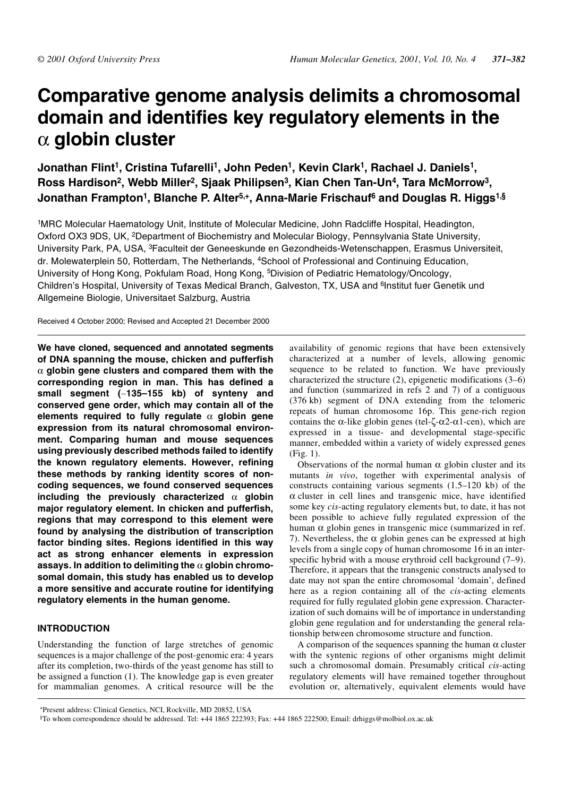# **Comparative genome analysis delimits a chromosomal domain and identifies key regulatory elements in the** α **globin cluster**

Jonathan Flint<sup>1</sup>, Cristina Tufarelli<sup>1</sup>, John Peden<sup>1</sup>, Kevin Clark<sup>1</sup>, Rachael J. Daniels<sup>1</sup>, **Ross Hardison2, Webb Miller2, Sjaak Philipsen3, Kian Chen Tan-Un4, Tara McMorrow3, Jonathan Frampton1, Blanche P. Alter5,+, Anna-Marie Frischauf6 and Douglas R. Higgs1,§**

1MRC Molecular Haematology Unit, Institute of Molecular Medicine, John Radcliffe Hospital, Headington, Oxford OX3 9DS, UK, 2Department of Biochemistry and Molecular Biology, Pennsylvania State University, University Park, PA, USA, 3Faculteit der Geneeskunde en Gezondheids-Wetenschappen, Erasmus Universiteit, dr. Molewaterplein 50, Rotterdam, The Netherlands, 4School of Professional and Continuing Education, University of Hong Kong, Pokfulam Road, Hong Kong, 5Division of Pediatric Hematology/Oncology, Children's Hospital, University of Texas Medical Branch, Galveston, TX, USA and <sup>6</sup>Institut fuer Genetik und Allgemeine Biologie, Universitaet Salzburg, Austria

Received 4 October 2000; Revised and Accepted 21 December 2000

**We have cloned, sequenced and annotated segments of DNA spanning the mouse, chicken and pufferfish** α **globin gene clusters and compared them with the corresponding region in man. This has defined a small segment (**∼**135–155 kb) of synteny and conserved gene order, which may contain all of the elements required to fully regulate** α **globin gene expression from its natural chromosomal environment. Comparing human and mouse sequences using previously described methods failed to identify the known regulatory elements. However, refining these methods by ranking identity scores of noncoding sequences, we found conserved sequences including the previously characterized** α **globin major regulatory element. In chicken and pufferfish, regions that may correspond to this element were found by analysing the distribution of transcription factor binding sites. Regions identified in this way act as strong enhancer elements in expression assays. In addition to delimiting the** α **globin chromosomal domain, this study has enabled us to develop a more sensitive and accurate routine for identifying regulatory elements in the human genome.**

# **INTRODUCTION**

Understanding the function of large stretches of genomic sequences is a major challenge of the post-genomic era: 4 years after its completion, two-thirds of the yeast genome has still to be assigned a function (1). The knowledge gap is even greater for mammalian genomes. A critical resource will be the availability of genomic regions that have been extensively characterized at a number of levels, allowing genomic sequence to be related to function. We have previously characterized the structure (2), epigenetic modifications (3–6) and function (summarized in refs 2 and 7) of a contiguous (376 kb) segment of DNA extending from the telomeric repeats of human chromosome 16p. This gene-rich region contains the α-like globin genes (tel-ζ-α2-α1-cen), which are expressed in a tissue- and developmental stage-specific manner, embedded within a variety of widely expressed genes (Fig. 1).

Observations of the normal human  $\alpha$  globin cluster and its mutants *in vivo*, together with experimental analysis of constructs containing various segments (1.5–120 kb) of the α cluster in cell lines and transgenic mice, have identified some key *cis*-acting regulatory elements but, to date, it has not been possible to achieve fully regulated expression of the human α globin genes in transgenic mice (summarized in ref. 7). Nevertheless, the α globin genes can be expressed at high levels from a single copy of human chromosome 16 in an interspecific hybrid with a mouse erythroid cell background (7–9). Therefore, it appears that the transgenic constructs analysed to date may not span the entire chromosomal 'domain', defined here as a region containing all of the *cis*-acting elements required for fully regulated globin gene expression. Characterization of such domains will be of importance in understanding globin gene regulation and for understanding the general relationship between chromosome structure and function.

A comparison of the sequences spanning the human  $\alpha$  cluster with the syntenic regions of other organisms might delimit such a chromosomal domain. Presumably critical *cis*-acting regulatory elements will have remained together throughout evolution or, alternatively, equivalent elements would have

<sup>+</sup>Present address: Clinical Genetics, NCI, Rockville, MD 20852, USA

<sup>§</sup>To whom correspondence should be addressed. Tel: +44 1865 222393; Fax: +44 1865 222500; Email: drhiggs@molbiol.ox.ac.uk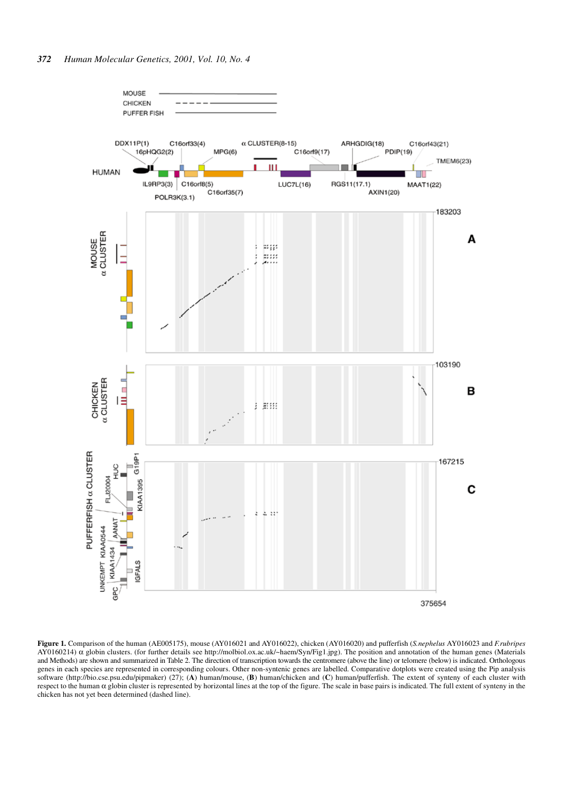

**Figure 1.** Comparison of the human (AE005175), mouse (AY016021 and AY016022), chicken (AY016020) and pufferfish (*S.nephelus* AY016023 and *F.rubripes* AY0160214) α globin clusters. (for further details see http://molbiol.ox.ac.uk/~haem/Syn/Fig1.jpg). The position and annotation of the human genes (Materials and Methods) are shown and summarized in Table 2. The direction of transcription towards the centromere (above the line) or telomere (below) is indicated. Orthologous genes in each species are represented in corresponding colours. Other non-syntenic genes are labelled. Comparative dotplots were created using the Pip analysis software (http://bio.cse.psu.edu/pipmaker) (27); (**A**) human/mouse, (**B**) human/chicken and (**C**) human/pufferfish. The extent of synteny of each cluster with respect to the human α globin cluster is represented by horizontal lines at the top of the figure. The scale in base pairs is indicated. The full extent of synteny in the chicken has not yet been determined (dashed line).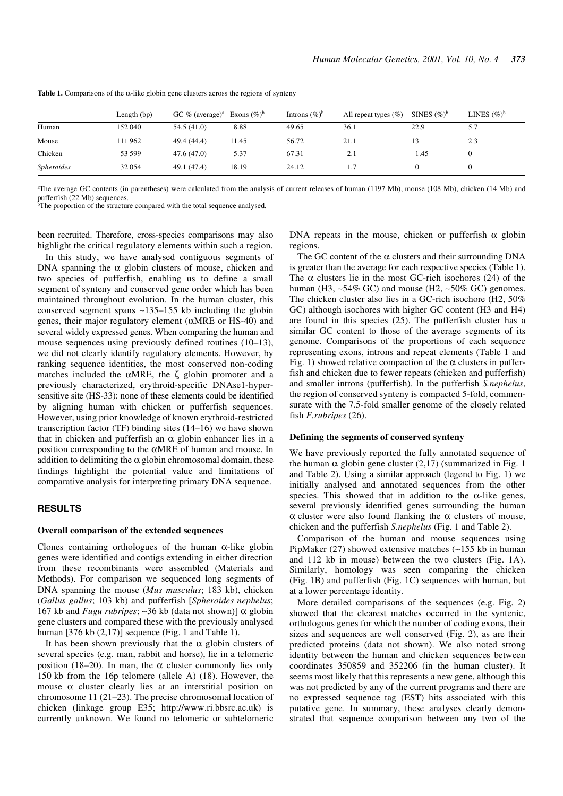|                   | Length $(bp)$ | GC % (average) <sup>a</sup> Exons $(\%)^b$ |       | Introns $(\%)^b$ | All repeat types $(\%)$ | SINES $(\%)^b$ | LINES $(\%)^b$ |
|-------------------|---------------|--------------------------------------------|-------|------------------|-------------------------|----------------|----------------|
| Human             | 152 040       | 54.5(41.0)                                 | 8.88  | 49.65            | 36.1                    | 22.9           | 5.7            |
| Mouse             | 111962        | 49.4 (44.4)                                | 11.45 | 56.72            | 21.1                    | 13             | 2.3            |
| Chicken           | 53 599        | 47.6(47.0)                                 | 5.37  | 67.31            | 2.1                     | 1.45           | $\theta$       |
| <b>Spheroides</b> | 32054         | 49.1 (47.4)                                | 18.19 | 24.12            | IJ                      |                | $\theta$       |

**Table 1.** Comparisons of the  $\alpha$ -like globin gene clusters across the regions of synteny

a The average GC contents (in parentheses) were calculated from the analysis of current releases of human (1197 Mb), mouse (108 Mb), chicken (14 Mb) and pufferfish (22 Mb) sequences.

<sup>b</sup>The proportion of the structure compared with the total sequence analysed.

been recruited. Therefore, cross-species comparisons may also highlight the critical regulatory elements within such a region.

In this study, we have analysed contiguous segments of DNA spanning the  $\alpha$  globin clusters of mouse, chicken and two species of pufferfish, enabling us to define a small segment of synteny and conserved gene order which has been maintained throughout evolution. In the human cluster, this conserved segment spans ∼135–155 kb including the globin genes, their major regulatory element (αMRE or HS-40) and several widely expressed genes. When comparing the human and mouse sequences using previously defined routines (10–13), we did not clearly identify regulatory elements. However, by ranking sequence identities, the most conserved non-coding matches included the  $\alpha$ MRE, the  $\zeta$  globin promoter and a previously characterized, erythroid-specific DNAse1-hypersensitive site (HS-33): none of these elements could be identified by aligning human with chicken or pufferfish sequences. However, using prior knowledge of known erythroid-restricted transcription factor (TF) binding sites (14–16) we have shown that in chicken and pufferfish an  $\alpha$  globin enhancer lies in a position corresponding to the αMRE of human and mouse. In addition to delimiting the  $\alpha$  globin chromosomal domain, these findings highlight the potential value and limitations of comparative analysis for interpreting primary DNA sequence.

#### **RESULTS**

#### **Overall comparison of the extended sequences**

Clones containing orthologues of the human  $\alpha$ -like globin genes were identified and contigs extending in either direction from these recombinants were assembled (Materials and Methods). For comparison we sequenced long segments of DNA spanning the mouse (*Mus musculus*; 183 kb), chicken (*Gallus gallus*; 103 kb) and pufferfish [*Spheroides nephelus*; 167 kb and *Fugu rubripes*; ~36 kb (data not shown)] α globin gene clusters and compared these with the previously analysed human  $[376 kb (2,17)]$  sequence (Fig. 1 and Table 1).

It has been shown previously that the  $\alpha$  globin clusters of several species (e.g. man, rabbit and horse), lie in a telomeric position (18–20). In man, the  $\alpha$  cluster commonly lies only 150 kb from the 16p telomere (allele A) (18). However, the mouse  $\alpha$  cluster clearly lies at an interstitial position on chromosome 11 (21–23). The precise chromosomal location of chicken (linkage group E35; http://www.ri.bbsrc.ac.uk) is currently unknown. We found no telomeric or subtelomeric DNA repeats in the mouse, chicken or pufferfish  $\alpha$  globin regions.

The GC content of the  $\alpha$  clusters and their surrounding DNA is greater than the average for each respective species (Table 1). The  $\alpha$  clusters lie in the most GC-rich isochores (24) of the human (H3, ∼54% GC) and mouse (H2, ∼50% GC) genomes. The chicken cluster also lies in a GC-rich isochore (H2, 50% GC) although isochores with higher GC content (H3 and H4) are found in this species (25). The pufferfish cluster has a similar GC content to those of the average segments of its genome. Comparisons of the proportions of each sequence representing exons, introns and repeat elements (Table 1 and Fig. 1) showed relative compaction of the  $\alpha$  clusters in pufferfish and chicken due to fewer repeats (chicken and pufferfish) and smaller introns (pufferfish). In the pufferfish *S.nephelus*, the region of conserved synteny is compacted 5-fold, commensurate with the 7.5-fold smaller genome of the closely related fish *F.rubripes* (26).

#### **Defining the segments of conserved synteny**

We have previously reported the fully annotated sequence of the human  $\alpha$  globin gene cluster (2,17) (summarized in Fig. 1 and Table 2). Using a similar approach (legend to Fig. 1) we initially analysed and annotated sequences from the other species. This showed that in addition to the  $\alpha$ -like genes, several previously identified genes surrounding the human α cluster were also found flanking the α clusters of mouse, chicken and the pufferfish *S.nephelus* (Fig. 1 and Table 2).

Comparison of the human and mouse sequences using PipMaker (27) showed extensive matches (∼155 kb in human and 112 kb in mouse) between the two clusters (Fig. 1A). Similarly, homology was seen comparing the chicken (Fig. 1B) and pufferfish (Fig. 1C) sequences with human, but at a lower percentage identity.

More detailed comparisons of the sequences (e.g. Fig. 2) showed that the clearest matches occurred in the syntenic, orthologous genes for which the number of coding exons, their sizes and sequences are well conserved (Fig. 2), as are their predicted proteins (data not shown). We also noted strong identity between the human and chicken sequences between coordinates 350859 and 352206 (in the human cluster). It seems most likely that this represents a new gene, although this was not predicted by any of the current programs and there are no expressed sequence tag (EST) hits associated with this putative gene. In summary, these analyses clearly demonstrated that sequence comparison between any two of the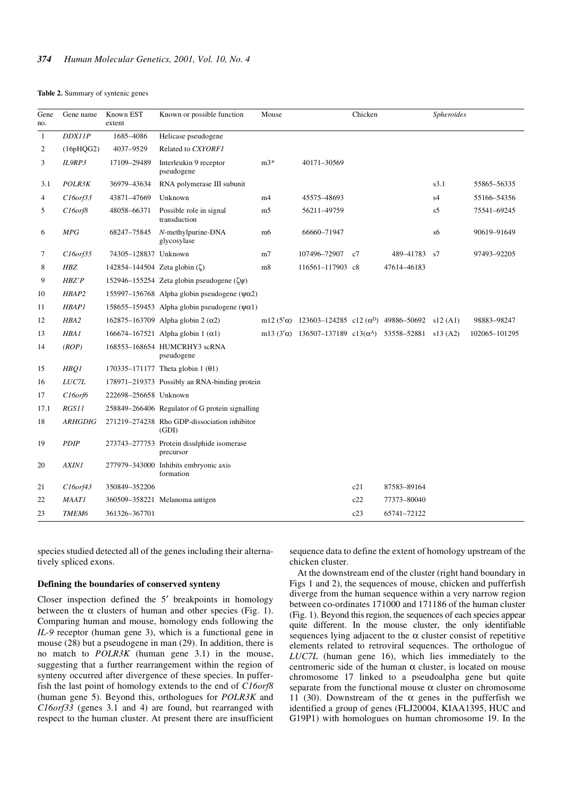#### **Table 2.** Summary of syntenic genes

| Gene<br>no.  | Gene name          | Known EST<br>extent                 | Known or possible function<br>Mouse                      |                | Chicken                                                                            |     | Spheroides  |               |               |
|--------------|--------------------|-------------------------------------|----------------------------------------------------------|----------------|------------------------------------------------------------------------------------|-----|-------------|---------------|---------------|
| $\mathbf{1}$ | DDX11P             | 1685-4086                           | Helicase pseudogene                                      |                |                                                                                    |     |             |               |               |
| 2            | (16pHQG2)          | 4037-9529                           | Related to CXYORF1                                       |                |                                                                                    |     |             |               |               |
| 3            | IL9RP3             | 17109-29489                         | Interleukin 9 receptor<br>pseudogene                     | $m3*$          | 40171-30569                                                                        |     |             |               |               |
| 3.1          | POLR3K             | 36979-43634                         | RNA polymerase III subunit                               |                |                                                                                    |     |             | s3.1          | 55865-56335   |
| 4            | $C16$ orf $33$     | 43871-47669                         | Unknown                                                  | m4             | 45575-48693                                                                        |     |             | s4            | 55166-54356   |
| 5            | $C16$ orf $8$      | 48058-66371                         | Possible role in signal<br>transduction                  | m5             | 56211-49759                                                                        |     |             | s5            | 75541-69245   |
| 6            | MPG                | 68247-75845                         | N-methylpurine-DNA<br>glycosylase                        | m6             | 66660-71947                                                                        |     |             | s6            | 90619-91649   |
| 7            | $C16$ orf $35$     | 74305-128837 Unknown                |                                                          | m <sub>7</sub> | 107496-72907                                                                       | c7  | 489-41783   | <sub>s7</sub> | 97493-92205   |
| 8            | <b>HBZ</b>         | 142854–144504 Zeta globin $(\zeta)$ |                                                          | m8             | 116561-117903 c8                                                                   |     | 47614-46183 |               |               |
| 9            | H B Z' P           |                                     | 152946–155254 Zeta globin pseudogene $(\zeta \psi)$      |                |                                                                                    |     |             |               |               |
| 10           | HBAP2              |                                     | 155997-156768 Alpha globin pseudogene ( $\psi \alpha$ 2) |                |                                                                                    |     |             |               |               |
| 11           | <b>HBAP1</b>       |                                     | 158655-159453 Alpha globin pseudogene ( $\psi \alpha$ 1) |                |                                                                                    |     |             |               |               |
| 12           | HBA2               |                                     | 162875-163709 Alpha globin 2 (α2)                        |                | m12 $(5'\alpha)$ 123603-124285 c12 $(\alpha^D)$ 49886-50692 s12 (A1)               |     |             |               | 98883-98247   |
| 13           | <b>HBA1</b>        |                                     | $166674 - 167521$ Alpha globin 1 ( $\alpha$ 1)           |                | m13 (3' $\alpha$ ) 136507-137189 c13( $\alpha$ <sup>A</sup> ) 53558-52881 s13 (A2) |     |             |               | 102065-101295 |
| 14           | (ROP)              |                                     | 168553-168654 HUMCRHY3 scRNA<br>pseudogene               |                |                                                                                    |     |             |               |               |
| 15           | HBQ1               |                                     | $170335 - 171177$ Theta globin 1 (01)                    |                |                                                                                    |     |             |               |               |
| 16           | LUC7L              |                                     | 178971-219373 Possibly an RNA-binding protein            |                |                                                                                    |     |             |               |               |
| 17           | $C16$ orf $6$      | 222698-256658 Unknown               |                                                          |                |                                                                                    |     |             |               |               |
| 17.1         | RGS11              |                                     | 258849-266406 Regulator of G protein signalling          |                |                                                                                    |     |             |               |               |
| 18           | <b>ARHGDIG</b>     |                                     | 271219-274238 Rho GDP-dissociation inhibitor<br>(GDI)    |                |                                                                                    |     |             |               |               |
| 19           | <b>PDIP</b>        |                                     | 273743-277753 Protein disulphide isomerase<br>precursor  |                |                                                                                    |     |             |               |               |
| 20           | <b>AXIN1</b>       |                                     | 277979-343000 Inhibits embryonic axis<br>formation       |                |                                                                                    |     |             |               |               |
| 21           | $Cl$ <i>forf43</i> | 350849-352206                       |                                                          |                |                                                                                    | c21 | 87583-89164 |               |               |
| 22           | <b>MAAT1</b>       |                                     | 360509–358221 Melanoma antigen                           |                |                                                                                    | c22 | 77373-80040 |               |               |
| 23           | TMEM6              | 361326-367701                       |                                                          |                |                                                                                    | c23 | 65741-72122 |               |               |

species studied detected all of the genes including their alternatively spliced exons.

## **Defining the boundaries of conserved synteny**

Closer inspection defined the 5′ breakpoints in homology between the  $\alpha$  clusters of human and other species (Fig. 1). Comparing human and mouse, homology ends following the *IL-9* receptor (human gene 3), which is a functional gene in mouse (28) but a pseudogene in man (29). In addition, there is no match to *POLR3K* (human gene 3.1) in the mouse, suggesting that a further rearrangement within the region of synteny occurred after divergence of these species. In pufferfish the last point of homology extends to the end of *C16orf8* (human gene 5). Beyond this, orthologues for *POLR3K* and *C16orf33* (genes 3.1 and 4) are found, but rearranged with respect to the human cluster. At present there are insufficient

sequence data to define the extent of homology upstream of the chicken cluster.

At the downstream end of the cluster (right hand boundary in Figs 1 and 2), the sequences of mouse, chicken and pufferfish diverge from the human sequence within a very narrow region between co-ordinates 171000 and 171186 of the human cluster (Fig. 1). Beyond this region, the sequences of each species appear quite different. In the mouse cluster, the only identifiable sequences lying adjacent to the  $\alpha$  cluster consist of repetitive elements related to retroviral sequences. The orthologue of *LUC7L* (human gene 16), which lies immediately to the centromeric side of the human  $\alpha$  cluster, is located on mouse chromosome 17 linked to a pseudoalpha gene but quite separate from the functional mouse  $\alpha$  cluster on chromosome 11 (30). Downstream of the  $\alpha$  genes in the pufferfish we identified a group of genes (FLJ20004, KIAA1395, HUC and G19P1) with homologues on human chromosome 19. In the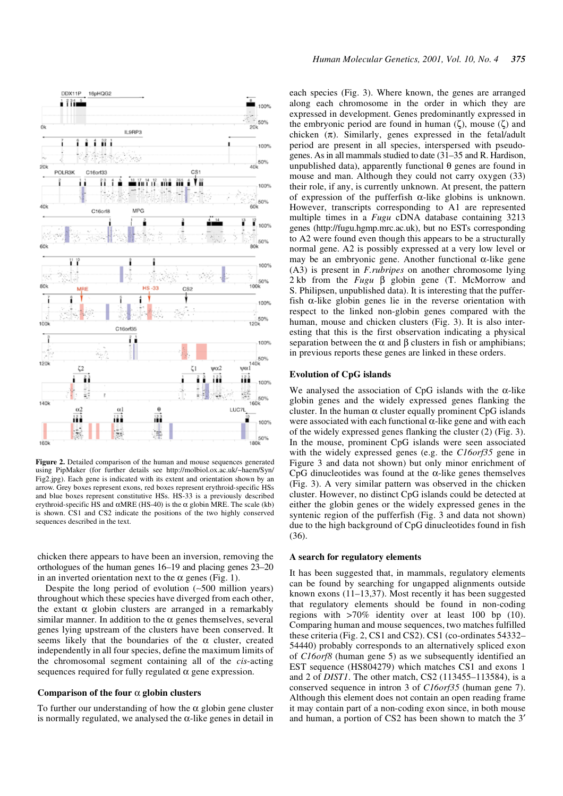

**Figure 2.** Detailed comparison of the human and mouse sequences generated using PipMaker (for further details see http://molbiol.ox.ac.uk/~haem/Syn/ Fig2.jpg). Each gene is indicated with its extent and orientation shown by an arrow. Grey boxes represent exons, red boxes represent erythroid-specific HSs and blue boxes represent constitutive HSs. HS-33 is a previously described erythroid-specific HS and  $\alpha$ MRE (HS-40) is the  $\alpha$  globin MRE. The scale (kb) is shown. CS1 and CS2 indicate the positions of the two highly conserved sequences described in the text.

chicken there appears to have been an inversion, removing the orthologues of the human genes 16–19 and placing genes 23–20 in an inverted orientation next to the  $\alpha$  genes (Fig. 1).

Despite the long period of evolution (∼500 million years) throughout which these species have diverged from each other, the extant  $\alpha$  globin clusters are arranged in a remarkably similar manner. In addition to the  $\alpha$  genes themselves, several genes lying upstream of the clusters have been conserved. It seems likely that the boundaries of the  $\alpha$  cluster, created independently in all four species, define the maximum limits of the chromosomal segment containing all of the *cis*-acting sequences required for fully regulated  $\alpha$  gene expression.

## **Comparison of the four** α **globin clusters**

To further our understanding of how the  $\alpha$  globin gene cluster is normally regulated, we analysed the  $\alpha$ -like genes in detail in each species (Fig. 3). Where known, the genes are arranged along each chromosome in the order in which they are expressed in development. Genes predominantly expressed in the embryonic period are found in human  $(\zeta)$ , mouse  $(\zeta)$  and chicken  $(\pi)$ . Similarly, genes expressed in the fetal/adult period are present in all species, interspersed with pseudogenes. As in all mammals studied to date (31–35 and R. Hardison, unpublished data), apparently functional  $\theta$  genes are found in mouse and man. Although they could not carry oxygen (33) their role, if any, is currently unknown. At present, the pattern of expression of the pufferfish  $\alpha$ -like globins is unknown. However, transcripts corresponding to A1 are represented multiple times in a *Fugu* cDNA database containing 3213 genes (http://fugu.hgmp.mrc.ac.uk), but no ESTs corresponding to A2 were found even though this appears to be a structurally normal gene. A2 is possibly expressed at a very low level or may be an embryonic gene. Another functional α-like gene (A3) is present in *F.rubripes* on another chromosome lying 2 kb from the *Fugu* β globin gene (T. McMorrow and S. Philipsen, unpublished data). It is interesting that the pufferfish  $\alpha$ -like globin genes lie in the reverse orientation with respect to the linked non-globin genes compared with the human, mouse and chicken clusters (Fig. 3). It is also interesting that this is the first observation indicating a physical separation between the  $\alpha$  and  $\beta$  clusters in fish or amphibians; in previous reports these genes are linked in these orders.

#### **Evolution of CpG islands**

We analysed the association of CpG islands with the  $\alpha$ -like globin genes and the widely expressed genes flanking the cluster. In the human  $\alpha$  cluster equally prominent CpG islands were associated with each functional  $\alpha$ -like gene and with each of the widely expressed genes flanking the cluster (2) (Fig. 3). In the mouse, prominent CpG islands were seen associated with the widely expressed genes (e.g. the *C16orf35* gene in Figure 3 and data not shown) but only minor enrichment of CpG dinucleotides was found at the α-like genes themselves (Fig. 3). A very similar pattern was observed in the chicken cluster. However, no distinct CpG islands could be detected at either the globin genes or the widely expressed genes in the syntenic region of the pufferfish (Fig. 3 and data not shown) due to the high background of CpG dinucleotides found in fish (36).

#### **A search for regulatory elements**

It has been suggested that, in mammals, regulatory elements can be found by searching for ungapped alignments outside known exons (11–13,37). Most recently it has been suggested that regulatory elements should be found in non-coding regions with >70% identity over at least 100 bp (10). Comparing human and mouse sequences, two matches fulfilled these criteria (Fig. 2, CS1 and CS2). CS1 (co-ordinates 54332– 54440) probably corresponds to an alternatively spliced exon of *C16orf8* (human gene 5) as we subsequently identified an EST sequence (HS804279) which matches CS1 and exons 1 and 2 of *DIST1*. The other match, CS2 (113455–113584), is a conserved sequence in intron 3 of *C16orf35* (human gene 7). Although this element does not contain an open reading frame it may contain part of a non-coding exon since, in both mouse and human, a portion of CS2 has been shown to match the 3′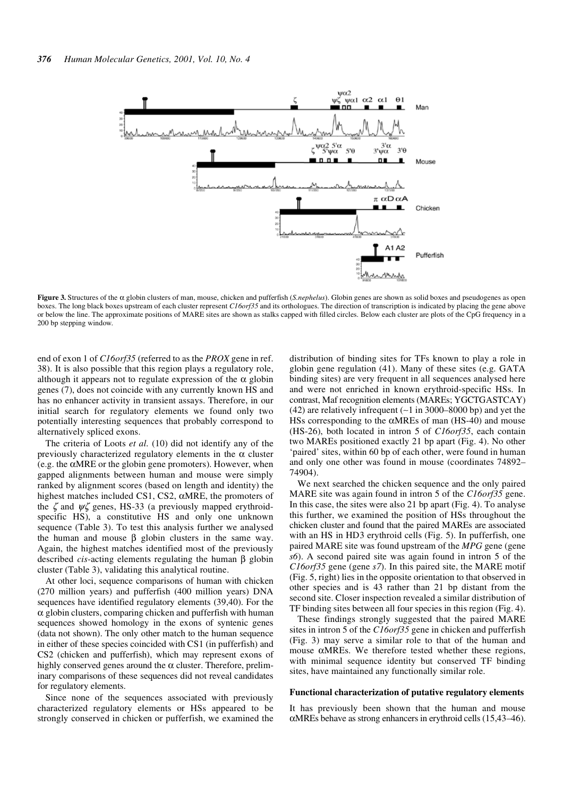

**Figure 3.** Structures of the α globin clusters of man, mouse, chicken and pufferfish (*S.nephelus*). Globin genes are shown as solid boxes and pseudogenes as open boxes. The long black boxes upstream of each cluster represent *C16orf35* and its orthologues. The direction of transcription is indicated by placing the gene above or below the line. The approximate positions of MARE sites are shown as stalks capped with filled circles. Below each cluster are plots of the CpG frequency in a 200 bp stepping window.

end of exon 1 of *C16orf35* (referred to as the *PROX* gene in ref. 38). It is also possible that this region plays a regulatory role, although it appears not to regulate expression of the  $\alpha$  globin genes (7), does not coincide with any currently known HS and has no enhancer activity in transient assays. Therefore, in our initial search for regulatory elements we found only two potentially interesting sequences that probably correspond to alternatively spliced exons.

The criteria of Loots *et al.* (10) did not identify any of the previously characterized regulatory elements in the  $\alpha$  cluster (e.g. the  $\alpha$ MRE or the globin gene promoters). However, when gapped alignments between human and mouse were simply ranked by alignment scores (based on length and identity) the highest matches included CS1, CS2, αMRE, the promoters of the  $\zeta$  and  $\psi\zeta$  genes, HS-33 (a previously mapped erythroidspecific HS), a constitutive HS and only one unknown sequence (Table 3). To test this analysis further we analysed the human and mouse  $β$  globin clusters in the same way. Again, the highest matches identified most of the previously described *cis*-acting elements regulating the human β globin cluster (Table 3), validating this analytical routine.

At other loci, sequence comparisons of human with chicken (270 million years) and pufferfish (400 million years) DNA sequences have identified regulatory elements (39,40). For the  $\alpha$  globin clusters, comparing chicken and pufferfish with human sequences showed homology in the exons of syntenic genes (data not shown). The only other match to the human sequence in either of these species coincided with CS1 (in pufferfish) and CS2 (chicken and pufferfish), which may represent exons of highly conserved genes around the  $\alpha$  cluster. Therefore, preliminary comparisons of these sequences did not reveal candidates for regulatory elements.

Since none of the sequences associated with previously characterized regulatory elements or HSs appeared to be strongly conserved in chicken or pufferfish, we examined the

distribution of binding sites for TFs known to play a role in globin gene regulation (41). Many of these sites (e.g. GATA binding sites) are very frequent in all sequences analysed here and were not enriched in known erythroid-specific HSs. In contrast, Maf recognition elements (MAREs; YGCTGASTCAY) (42) are relatively infrequent (∼1 in 3000–8000 bp) and yet the HSs corresponding to the  $\alpha$ MREs of man (HS-40) and mouse (HS-26), both located in intron 5 of *C16orf35*, each contain two MAREs positioned exactly 21 bp apart (Fig. 4). No other 'paired' sites, within 60 bp of each other, were found in human and only one other was found in mouse (coordinates 74892– 74904).

We next searched the chicken sequence and the only paired MARE site was again found in intron 5 of the *C16orf35* gene. In this case, the sites were also 21 bp apart (Fig. 4). To analyse this further, we examined the position of HSs throughout the chicken cluster and found that the paired MAREs are associated with an HS in HD3 erythroid cells (Fig. 5). In pufferfish, one paired MARE site was found upstream of the *MPG* gene (gene *s6*). A second paired site was again found in intron 5 of the *C16orf35* gene (gene *s7*). In this paired site, the MARE motif (Fig. 5, right) lies in the opposite orientation to that observed in other species and is 43 rather than 21 bp distant from the second site. Closer inspection revealed a similar distribution of TF binding sites between all four species in this region (Fig. 4).

These findings strongly suggested that the paired MARE sites in intron 5 of the *C16orf35* gene in chicken and pufferfish (Fig. 3) may serve a similar role to that of the human and mouse αMREs. We therefore tested whether these regions, with minimal sequence identity but conserved TF binding sites, have maintained any functionally similar role.

#### **Functional characterization of putative regulatory elements**

It has previously been shown that the human and mouse αMREs behave as strong enhancers in erythroid cells (15,43–46).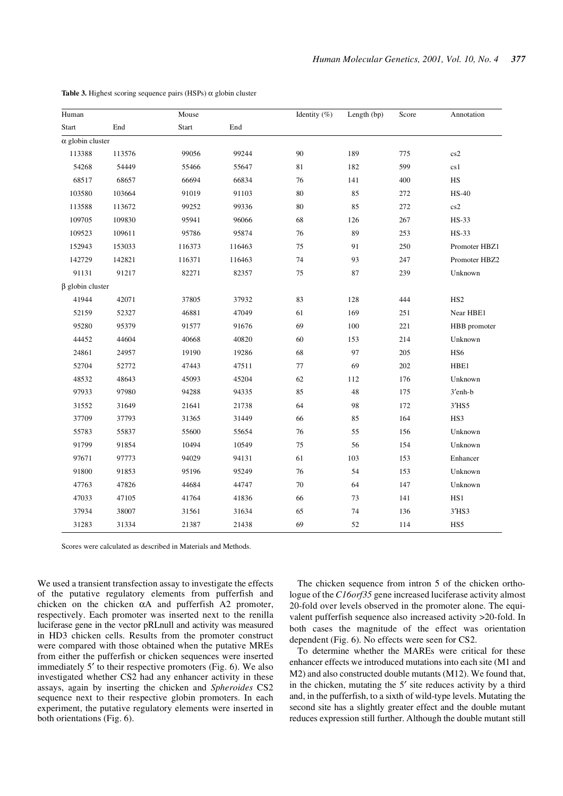| Human                   |        | Mouse  |        | Identity (%) | Length (bp) | Score | Annotation      |  |
|-------------------------|--------|--------|--------|--------------|-------------|-------|-----------------|--|
| Start                   | End    | Start  | End    |              |             |       |                 |  |
| $\alpha$ globin cluster |        |        |        |              |             |       |                 |  |
| 113388                  | 113576 | 99056  | 99244  | $90\,$       | 189         | 775   | $\rm cs2$       |  |
| 54268                   | 54449  | 55466  | 55647  | 81           | 182         | 599   | cs1             |  |
| 68517                   | 68657  | 66694  | 66834  | 76           | 141         | 400   | $_{\rm HS}$     |  |
| 103580                  | 103664 | 91019  | 91103  | $80\,$       | 85          | 272   | $HS-40$         |  |
| 113588                  | 113672 | 99252  | 99336  | $80\,$       | 85          | 272   | $_{\rm cs2}$    |  |
| 109705                  | 109830 | 95941  | 96066  | 68           | 126         | 267   | HS-33           |  |
| 109523                  | 109611 | 95786  | 95874  | 76           | 89          | 253   | HS-33           |  |
| 152943                  | 153033 | 116373 | 116463 | $75\,$       | 91          | 250   | Promoter HBZ1   |  |
| 142729                  | 142821 | 116371 | 116463 | 74           | 93          | 247   | Promoter HBZ2   |  |
| 91131                   | 91217  | 82271  | 82357  | $75\,$       | $87\,$      | 239   | Unknown         |  |
| $\beta$ globin cluster  |        |        |        |              |             |       |                 |  |
| 41944                   | 42071  | 37805  | 37932  | 83           | 128         | 444   | HS <sub>2</sub> |  |
| 52159                   | 52327  | 46881  | 47049  | 61           | 169         | 251   | Near HBE1       |  |
| 95280                   | 95379  | 91577  | 91676  | 69           | 100         | 221   | HBB promoter    |  |
| 44452                   | 44604  | 40668  | 40820  | $60\,$       | 153         | 214   | Unknown         |  |
| 24861                   | 24957  | 19190  | 19286  | 68           | 97          | 205   | HS6             |  |
| 52704                   | 52772  | 47443  | 47511  | 77           | 69          | 202   | HBE1            |  |
| 48532                   | 48643  | 45093  | 45204  | 62           | 112         | 176   | Unknown         |  |
| 97933                   | 97980  | 94288  | 94335  | 85           | 48          | 175   | 3'enh-b         |  |
| 31552                   | 31649  | 21641  | 21738  | 64           | 98          | 172   | $3'HS5$         |  |
| 37709                   | 37793  | 31365  | 31449  | 66           | 85          | 164   | HS3             |  |
| 55783                   | 55837  | 55600  | 55654  | 76           | 55          | 156   | Unknown         |  |
| 91799                   | 91854  | 10494  | 10549  | 75           | 56          | 154   | Unknown         |  |
| 97671                   | 97773  | 94029  | 94131  | 61           | 103         | 153   | Enhancer        |  |
| 91800                   | 91853  | 95196  | 95249  | 76           | 54          | 153   | Unknown         |  |
| 47763                   | 47826  | 44684  | 44747  | 70           | 64          | 147   | Unknown         |  |
| 47033                   | 47105  | 41764  | 41836  | 66           | 73          | 141   | HS1             |  |
| 37934                   | 38007  | 31561  | 31634  | 65           | 74          | 136   | 3'HS3           |  |
| 31283                   | 31334  | 21387  | 21438  | 69           | 52          | 114   | HS5             |  |

#### **Table 3.** Highest scoring sequence pairs (HSPs) α globin cluster

Scores were calculated as described in Materials and Methods.

We used a transient transfection assay to investigate the effects of the putative regulatory elements from pufferfish and chicken on the chicken  $\alpha$ A and pufferfish A2 promoter, respectively. Each promoter was inserted next to the renilla luciferase gene in the vector pRLnull and activity was measured in HD3 chicken cells. Results from the promoter construct were compared with those obtained when the putative MREs from either the pufferfish or chicken sequences were inserted immediately 5′ to their respective promoters (Fig. 6). We also investigated whether CS2 had any enhancer activity in these assays, again by inserting the chicken and *Spheroides* CS2 sequence next to their respective globin promoters. In each experiment, the putative regulatory elements were inserted in both orientations (Fig. 6).

The chicken sequence from intron 5 of the chicken orthologue of the *C16orf35* gene increased luciferase activity almost 20-fold over levels observed in the promoter alone. The equivalent pufferfish sequence also increased activity >20-fold. In both cases the magnitude of the effect was orientation dependent (Fig. 6). No effects were seen for CS2.

To determine whether the MAREs were critical for these enhancer effects we introduced mutations into each site (M1 and M2) and also constructed double mutants (M12). We found that, in the chicken, mutating the 5′ site reduces activity by a third and, in the pufferfish, to a sixth of wild-type levels. Mutating the second site has a slightly greater effect and the double mutant reduces expression still further. Although the double mutant still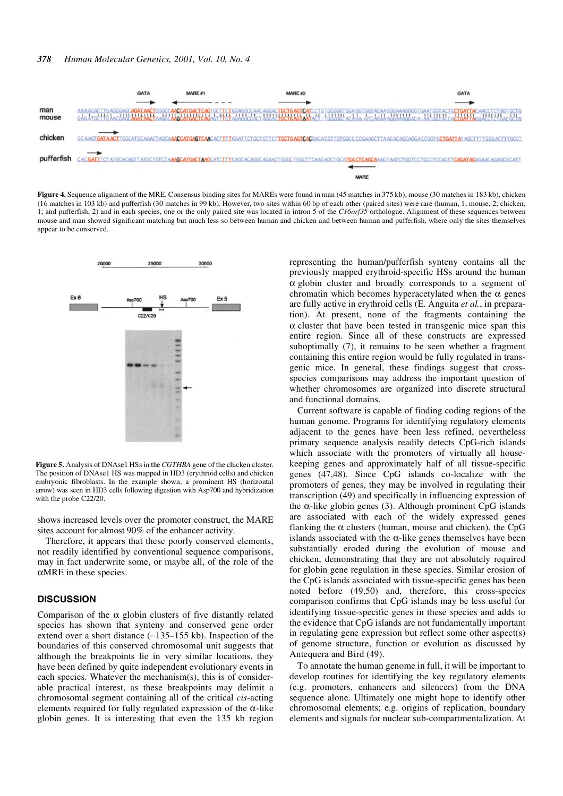

**Figure 4.** Sequence alignment of the MRE. Consensus binding sites for MAREs were found in man (45 matches in 375 kb), mouse (30 matches in 183 kb), chicken (16 matches in 103 kb) and pufferfish (30 matches in 99 kb). However, two sites within 60 bp of each other (paired sites) were rare (human, 1; mouse, 2; chicken, 1; and pufferfish, 2) and in each species, one or the only paired site was located in intron 5 of the *C16orf35* orthologue. Alignment of these sequences between mouse and man showed significant matching but much less so between human and chicken and between human and pufferfish, where only the sites themselves appear to be conserved.



**Figure 5.** Analysis of DNAse1 HSs in the *CGTHBA* gene of the chicken cluster. The position of DNAse1 HS was mapped in HD3 (erythroid cells) and chicken embryonic fibroblasts. In the example shown, a prominent HS (horizontal arrow) was seen in HD3 cells following digestion with Asp700 and hybridization with the probe C22/20.

shows increased levels over the promoter construct, the MARE sites account for almost 90% of the enhancer activity.

Therefore, it appears that these poorly conserved elements, not readily identified by conventional sequence comparisons, may in fact underwrite some, or maybe all, of the role of the αMRE in these species.

#### **DISCUSSION**

Comparison of the  $\alpha$  globin clusters of five distantly related species has shown that synteny and conserved gene order extend over a short distance (∼135–155 kb). Inspection of the boundaries of this conserved chromosomal unit suggests that although the breakpoints lie in very similar locations, they have been defined by quite independent evolutionary events in each species. Whatever the mechanism(s), this is of considerable practical interest, as these breakpoints may delimit a chromosomal segment containing all of the critical *cis*-acting elements required for fully regulated expression of the  $\alpha$ -like globin genes. It is interesting that even the 135 kb region representing the human/pufferfish synteny contains all the previously mapped erythroid-specific HSs around the human α globin cluster and broadly corresponds to a segment of chromatin which becomes hyperacetylated when the  $\alpha$  genes are fully active in erythroid cells (E. Anguita *et al.*, in preparation). At present, none of the fragments containing the  $\alpha$  cluster that have been tested in transgenic mice span this entire region. Since all of these constructs are expressed suboptimally (7), it remains to be seen whether a fragment containing this entire region would be fully regulated in transgenic mice. In general, these findings suggest that crossspecies comparisons may address the important question of whether chromosomes are organized into discrete structural and functional domains.

Current software is capable of finding coding regions of the human genome. Programs for identifying regulatory elements adjacent to the genes have been less refined, nevertheless primary sequence analysis readily detects CpG-rich islands which associate with the promoters of virtually all housekeeping genes and approximately half of all tissue-specific genes (47,48). Since CpG islands co-localize with the promoters of genes, they may be involved in regulating their transcription (49) and specifically in influencing expression of the  $\alpha$ -like globin genes (3). Although prominent CpG islands are associated with each of the widely expressed genes flanking the  $\alpha$  clusters (human, mouse and chicken), the CpG islands associated with the  $\alpha$ -like genes themselves have been substantially eroded during the evolution of mouse and chicken, demonstrating that they are not absolutely required for globin gene regulation in these species. Similar erosion of the CpG islands associated with tissue-specific genes has been noted before (49,50) and, therefore, this cross-species comparison confirms that CpG islands may be less useful for identifying tissue-specific genes in these species and adds to the evidence that CpG islands are not fundamentally important in regulating gene expression but reflect some other aspect(s) of genome structure, function or evolution as discussed by Antequera and Bird (49).

To annotate the human genome in full, it will be important to develop routines for identifying the key regulatory elements (e.g. promoters, enhancers and silencers) from the DNA sequence alone. Ultimately one might hope to identify other chromosomal elements; e.g. origins of replication, boundary elements and signals for nuclear sub-compartmentalization. At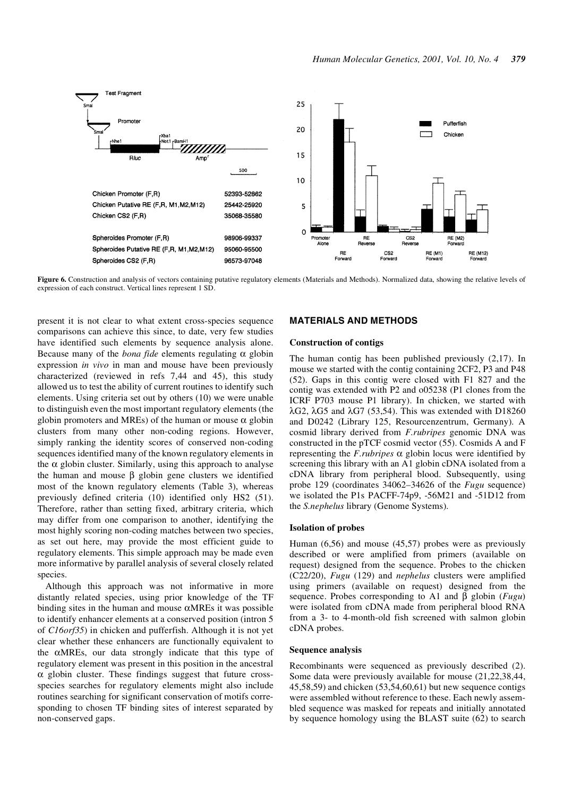

Figure 6. Construction and analysis of vectors containing putative regulatory elements (Materials and Methods). Normalized data, showing the relative levels of expression of each construct. Vertical lines represent 1 SD.

present it is not clear to what extent cross-species sequence comparisons can achieve this since, to date, very few studies have identified such elements by sequence analysis alone. Because many of the *bona fide* elements regulating  $\alpha$  globin expression *in vivo* in man and mouse have been previously characterized (reviewed in refs 7,44 and 45), this study allowed us to test the ability of current routines to identify such elements. Using criteria set out by others (10) we were unable to distinguish even the most important regulatory elements (the globin promoters and MREs) of the human or mouse  $\alpha$  globin clusters from many other non-coding regions. However, simply ranking the identity scores of conserved non-coding sequences identified many of the known regulatory elements in the  $\alpha$  globin cluster. Similarly, using this approach to analyse the human and mouse β globin gene clusters we identified most of the known regulatory elements (Table 3), whereas previously defined criteria (10) identified only HS2 (51). Therefore, rather than setting fixed, arbitrary criteria, which may differ from one comparison to another, identifying the most highly scoring non-coding matches between two species, as set out here, may provide the most efficient guide to regulatory elements. This simple approach may be made even more informative by parallel analysis of several closely related species.

Although this approach was not informative in more distantly related species, using prior knowledge of the TF binding sites in the human and mouse  $\alpha$ MREs it was possible to identify enhancer elements at a conserved position (intron 5 of *C16orf35*) in chicken and pufferfish. Although it is not yet clear whether these enhancers are functionally equivalent to the  $\alpha$ MREs, our data strongly indicate that this type of regulatory element was present in this position in the ancestral  $\alpha$  globin cluster. These findings suggest that future crossspecies searches for regulatory elements might also include routines searching for significant conservation of motifs corresponding to chosen TF binding sites of interest separated by non-conserved gaps.

# **MATERIALS AND METHODS**

#### **Construction of contigs**

The human contig has been published previously (2,17). In mouse we started with the contig containing 2CF2, P3 and P48 (52). Gaps in this contig were closed with F1 827 and the contig was extended with P2 and o05238 (P1 clones from the ICRF P703 mouse P1 library). In chicken, we started with λG2, λG5 and λG7 (53,54). This was extended with D18260 and D0242 (Library 125, Resourcenzentrum, Germany). A cosmid library derived from *F.rubripes* genomic DNA was constructed in the pTCF cosmid vector (55). Cosmids A and F representing the *F.rubripes* α globin locus were identified by screening this library with an A1 globin cDNA isolated from a cDNA library from peripheral blood. Subsequently, using probe 129 (coordinates 34062–34626 of the *Fugu* sequence) we isolated the P1s PACFF-74p9, -56M21 and -51D12 from the *S.nephelus* library (Genome Systems).

## **Isolation of probes**

Human (6,56) and mouse (45,57) probes were as previously described or were amplified from primers (available on request) designed from the sequence. Probes to the chicken (C22/20), *Fugu* (129) and *nephelus* clusters were amplified using primers (available on request) designed from the sequence. Probes corresponding to A1 and β globin (*Fugu*) were isolated from cDNA made from peripheral blood RNA from a 3- to 4-month-old fish screened with salmon globin cDNA probes.

## **Sequence analysis**

Recombinants were sequenced as previously described (2). Some data were previously available for mouse (21,22,38,44, 45,58,59) and chicken (53,54,60,61) but new sequence contigs were assembled without reference to these. Each newly assembled sequence was masked for repeats and initially annotated by sequence homology using the BLAST suite (62) to search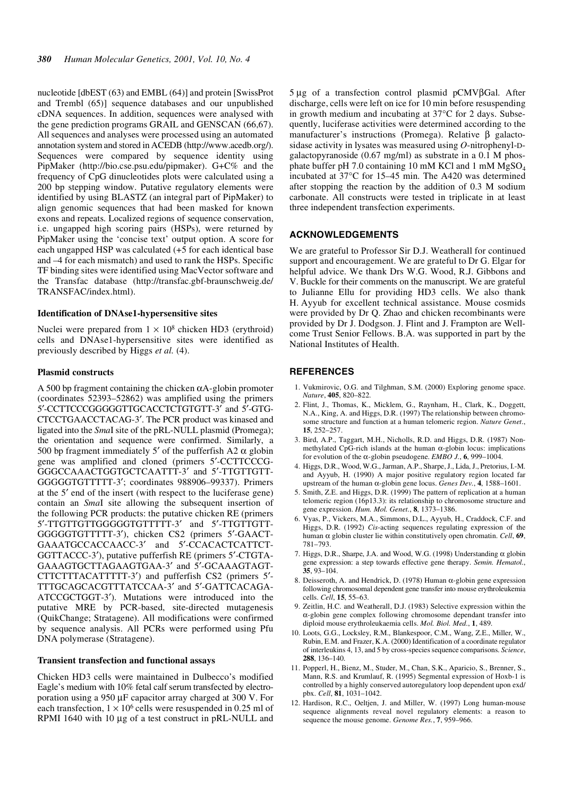nucleotide [dbEST (63) and EMBL (64)] and protein [SwissProt and Trembl (65)] sequence databases and our unpublished cDNA sequences. In addition, sequences were analysed with the gene prediction programs GRAIL and GENSCAN (66,67). All sequences and analyses were processed using an automated annotation system and stored in ACEDB (http://www.acedb.org/). Sequences were compared by sequence identity using PipMaker (http://bio.cse.psu.edu/pipmaker). G+C% and the frequency of CpG dinucleotides plots were calculated using a 200 bp stepping window. Putative regulatory elements were identified by using BLASTZ (an integral part of PipMaker) to align genomic sequences that had been masked for known exons and repeats. Localized regions of sequence conservation, i.e. ungapped high scoring pairs (HSPs), were returned by PipMaker using the 'concise text' output option. A score for each ungapped HSP was calculated (+5 for each identical base and –4 for each mismatch) and used to rank the HSPs. Specific TF binding sites were identified using MacVector software and the Transfac database (http://transfac.gbf-braunschweig.de/ TRANSFAC/index.html).

## **Identification of DNAse1-hypersensitive sites**

Nuclei were prepared from  $1 \times 10^8$  chicken HD3 (erythroid) cells and DNAse1-hypersensitive sites were identified as previously described by Higgs *et al.* (4).

## **Plasmid constructs**

A 500 bp fragment containing the chicken αA-globin promoter (coordinates 52393–52862) was amplified using the primers 5′-CCTTCCCGGGGGTTGCACCTCTGTGTT-3′ and 5′-GTG-CTCCTGAACCTACAG-3′. The PCR product was kinased and ligated into the *Sma*I site of the pRL-NULL plasmid (Promega); the orientation and sequence were confirmed. Similarly, a 500 bp fragment immediately 5' of the pufferfish A2  $\alpha$  globin gene was amplified and cloned (primers 5′-CCTTCCCG-GGGCCAAACTGGTGCTCAATTT-3′ and 5′-TTGTTGTT-GGGGGTGTTTTT-3′; coordinates 988906–99337). Primers at the 5′ end of the insert (with respect to the luciferase gene) contain an *Sma*I site allowing the subsequent insertion of the following PCR products: the putative chicken RE (primers 5′-TTGTTGTTGGGGGTGTTTTT-3′ and 5′-TTGTTGTT-GGGGGTGTTTTT-3′), chicken CS2 (primers 5′-GAACT-GAAATGCCACCAACC-3' and 5'-CCACACTCATTCT-GGTTACCC-3′), putative pufferfish RE (primers 5′-CTGTA-GAAAGTGCTTAGAAGTGAA-3′ and 5′-GCAAAGTAGT-CTTCTTTACATTTTT-3′) and pufferfish CS2 (primers 5′- TTTGCAGCACGTTTATCCAA-3′ and 5′-GATTCACAGA-ATCCGCTGGT-3′). Mutations were introduced into the putative MRE by PCR-based, site-directed mutagenesis (QuikChange; Stratagene). All modifications were confirmed by sequence analysis. All PCRs were performed using Pfu DNA polymerase (Stratagene).

## **Transient transfection and functional assays**

Chicken HD3 cells were maintained in Dulbecco's modified Eagle's medium with 10% fetal calf serum transfected by electroporation using a 950 µF capacitor array charged at 300 V. For each transfection,  $1 \times 10^6$  cells were resuspended in 0.25 ml of RPMI 1640 with 10 µg of a test construct in pRL-NULL and 5 µg of a transfection control plasmid pCMVβGal. After discharge, cells were left on ice for 10 min before resuspending in growth medium and incubating at 37°C for 2 days. Subsequently, luciferase activities were determined according to the manufacturer's instructions (Promega). Relative β galactosidase activity in lysates was measured using *O*-nitrophenyl-Dgalactopyranoside (0.67 mg/ml) as substrate in a 0.1 M phosphate buffer pH 7.0 containing 10 mM KCl and 1 mM  $MgSO<sub>4</sub>$ incubated at 37°C for 15–45 min. The A420 was determined after stopping the reaction by the addition of 0.3 M sodium carbonate. All constructs were tested in triplicate in at least three independent transfection experiments.

## **ACKNOWLEDGEMENTS**

We are grateful to Professor Sir D.J. Weatherall for continued support and encouragement. We are grateful to Dr G. Elgar for helpful advice. We thank Drs W.G. Wood, R.J. Gibbons and V. Buckle for their comments on the manuscript. We are grateful to Julianne Ellu for providing HD3 cells. We also thank H. Ayyub for excellent technical assistance. Mouse cosmids were provided by Dr Q. Zhao and chicken recombinants were provided by Dr J. Dodgson. J. Flint and J. Frampton are Wellcome Trust Senior Fellows. B.A. was supported in part by the National Institutes of Health.

## **REFERENCES**

- 1. Vukmirovic, O.G. and Tilghman, S.M. (2000) Exploring genome space. *Nature*, **405**, 820–822.
- 2. Flint, J., Thomas, K., Micklem, G., Raynham, H., Clark, K., Doggett, N.A., King, A. and Higgs, D.R. (1997) The relationship between chromosome structure and function at a human telomeric region. *Nature Genet.*, **15**, 252–257.
- 3. Bird, A.P., Taggart, M.H., Nicholls, R.D. and Higgs, D.R. (1987) Nonmethylated CpG-rich islands at the human  $\alpha$ -globin locus: implications for evolution of the  $\alpha$ -globin pseudogene. *EMBO J.*, **6**, 999–1004.
- 4. Higgs, D.R., Wood, W.G., Jarman, A.P., Sharpe, J., Lida, J., Pretorius, I.-M. and Ayyub, H. (1990) A major positive regulatory region located far upstream of the human  $\alpha$ -globin gene locus. *Genes Dev.*, **4**, 1588–1601.
- 5. Smith, Z.E. and Higgs, D.R. (1999) The pattern of replication at a human telomeric region (16p13.3): its relationship to chromosome structure and gene expression. *Hum. Mol. Genet.*, **8**, 1373–1386.
- 6. Vyas, P., Vickers, M.A., Simmons, D.L., Ayyub, H., Craddock, C.F. and Higgs, D.R. (1992) *Cis*-acting sequences regulating expression of the human α globin cluster lie within constitutively open chromatin. *Cell*, **69**, 781–793.
- 7. Higgs, D.R., Sharpe, J.A. and Wood, W.G. (1998) Understanding  $\alpha$  globin gene expression: a step towards effective gene therapy. *Semin. Hematol.*, **35**, 93–104.
- 8. Deisseroth, A. and Hendrick, D. (1978) Human α-globin gene expression following chromosomal dependent gene transfer into mouse erythroleukemia cells. *Cell*, **15**, 55–63.
- 9. Zeitlin, H.C. and Weatherall, D.J. (1983) Selective expression within the α-globin gene complex following chromosome dependant transfer into diploid mouse erythroleukaemia cells. *Mol. Biol. Med.*, **1**, 489.
- 10. Loots, G.G., Locksley, R.M., Blankespoor, C.M., Wang, Z.E., Miller, W., Rubin, E.M. and Frazer, K.A. (2000) Identification of a coordinate regulator of interleukins 4, 13, and 5 by cross-species sequence comparisons. *Science*, **288**, 136–140.
- 11. Popperl, H., Bienz, M., Studer, M., Chan, S.K., Aparicio, S., Brenner, S., Mann, R.S. and Krumlauf, R. (1995) Segmental expression of Hoxb-1 is controlled by a highly conserved autoregulatory loop dependent upon exd/ pbx. *Cell*, **81**, 1031–1042.
- 12. Hardison, R.C., Oeltjen, J. and Miller, W. (1997) Long human-mouse sequence alignments reveal novel regulatory elements: a reason to sequence the mouse genome. *Genome Res.*, **7**, 959–966.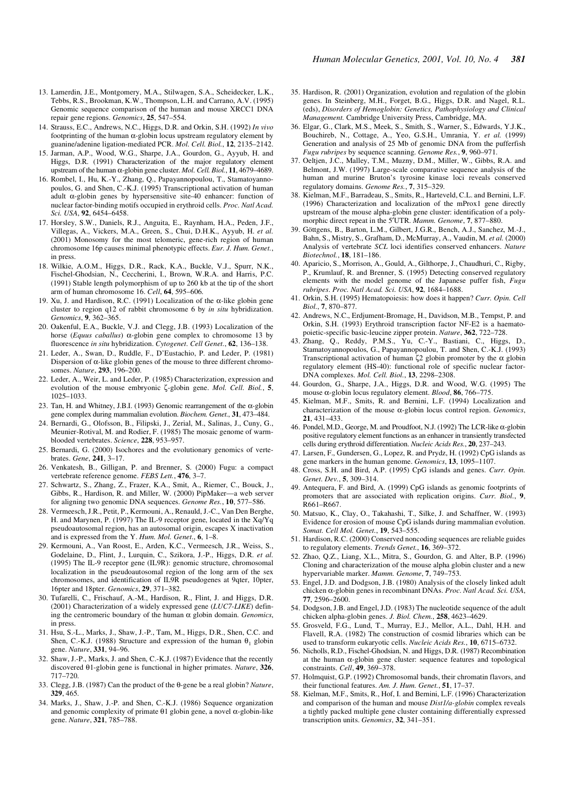- 13. Lamerdin, J.E., Montgomery, M.A., Stilwagen, S.A., Scheidecker, L.K., Tebbs, R.S., Brookman, K.W., Thompson, L.H. and Carrano, A.V. (1995) Genomic sequence comparison of the human and mouse XRCC1 DNA repair gene regions. *Genomics*, **25**, 547–554.
- 14. Strauss, E.C., Andrews, N.C., Higgs, D.R. and Orkin, S.H. (1992) *In vivo* footprinting of the human  $\alpha$ -globin locus upstream regulatory element by guanine/adenine ligation-mediated PCR. *Mol. Cell. Biol.*, **12**, 2135–2142.
- 15. Jarman, A.P., Wood, W.G., Sharpe, J.A., Gourdon, G., Ayyub, H. and Higgs, D.R. (1991) Characterization of the major regulatory element upstream of the human α-globin gene cluster. *Mol. Cell. Biol.*, **11**, 4679–4689.
- 16. Rombel, I., Hu, K.-Y., Zhang, Q., Papayannopoulou, T., Stamatoyannopoulos, G. and Shen, C.-K.J. (1995) Transcriptional activation of human adult  $\alpha$ -globin genes by hypersensitive site-40 enhancer: function of nuclear factor-binding motifs occupied in erythroid cells. *Proc. Natl Acad. Sci. USA*, **92**, 6454–6458.
- 17. Horsley, S.W., Daniels, R.J., Anguita, E., Raynham, H.A., Peden, J.F., Villegas, A., Vickers, M.A., Green, S., Chui, D.H.K., Ayyub, H. *et al.* (2001) Monosomy for the most telomeric, gene-rich region of human chromosome 16p causes minimal phenotypic effects. *Eur. J. Hum. Genet.*, in press.
- 18. Wilkie, A.O.M., Higgs, D.R., Rack, K.A., Buckle, V.J., Spurr, N.K., Fischel-Ghodsian, N., Ceccherini, I., Brown, W.R.A. and Harris, P.C. (1991) Stable length polymorphism of up to 260 kb at the tip of the short arm of human chromosome 16. *Cell*, **64**, 595–606.
- 19. Xu, J. and Hardison, R.C. (1991) Localization of the α-like globin gene cluster to region q12 of rabbit chromosome 6 by *in situ* hybridization. *Genomics*, **9**, 362–365.
- 20. Oakenful, E.A., Buckle, V.J. and Clegg, J.B. (1993) Localization of the horse (*Equus caballus*) α-globin gene complex to chromosome 13 by fluorescence *in situ* hybridization. *Cytogenet. Cell Genet.*, **62**, 136–138.
- 21. Leder, A., Swan, D., Ruddle, F., D'Eustachio, P. and Leder, P. (1981) Dispersion of  $α$ -like globin genes of the mouse to three different chromosomes. *Nature*, **293**, 196–200.
- 22. Leder, A., Weir, L. and Leder, P. (1985) Characterization, expression and evolution of the mouse embryonic ζ-globin gene. *Mol. Cell. Biol.*, **5**, 1025–1033.
- 23. Tan, H. and Whitney, J.B.I. (1993) Genomic rearrangement of the  $\alpha$ -globin gene complex during mammalian evolution. *Biochem. Genet.*, **31**, 473–484.
- 24. Bernardi, G., Olofsson, B., Filipski, J., Zerial, M., Salinas, J., Cuny, G., Meunier-Rotival, M. and Rodier, F. (1985) The mosaic genome of warmblooded vertebrates. *Science*, **228**, 953–957.
- 25. Bernardi, G. (2000) Isochores and the evolutionary genomics of vertebrates. *Gene*, **241**, 3–17.
- 26. Venkatesh, B., Gilligan, P. and Brenner, S. (2000) Fugu: a compact vertebrate reference genome. *FEBS Lett.*, **476**, 3–7.
- 27. Schwartz, S., Zhang, Z., Frazer, K.A., Smit, A., Riemer, C., Bouck, J., Gibbs, R., Hardison, R. and Miller, W. (2000) PipMaker—a web server for aligning two genomic DNA sequences. *Genome Res.*, **10**, 577–586.
- 28. Vermeesch, J.R., Petit, P., Kermouni, A., Renauld, J.-C., Van Den Berghe, H. and Marynen, P. (1997) The IL-9 receptor gene, located in the Xq/Yq pseudoautosomal region, has an autosomal origin, escapes X inactivation and is expressed from the Y. *Hum. Mol. Genet.*, **6**, 1–8.
- 29. Kermouni, A., Van Roost, E., Arden, K.C., Vermeesch, J.R., Weiss, S., Godelaine, D., Flint, J., Lurquin, C., Szikora, J.-P., Higgs, D.R. *et al.* (1995) The IL-9 receptor gene (IL9R): genomic structure, chromosomal localization in the pseudoautosomal region of the long arm of the sex chromosomes, and identification of IL9R pseudogenes at 9qter, 10pter, 16pter and 18pter. *Genomics*, **29**, 371–382.
- 30. Tufarelli, C., Frischauf, A.-M., Hardison, R., Flint, J. and Higgs, D.R. (2001) Characterization of a widely expressed gene (*LUC7-LIKE*) defining the centromeric boundary of the human α globin domain. *Genomics*, in press.
- 31. Hsu, S.-L., Marks, J., Shaw, J.-P., Tam, M., Higgs, D.R., Shen, C.C. and Shen, C.-K.J. (1988) Structure and expression of the human  $\theta_1$  globin gene. *Nature*, **331**, 94–96.
- 32. Shaw, J.-P., Marks, J. and Shen, C.-K.J. (1987) Evidence that the recently discovered θ1-globin gene is functional in higher primates. *Nature*, **326**, 717–720.
- 33. Clegg, J.B. (1987) Can the product of the θ-gene be a real globin? *Nature*, **329**, 465.
- 34. Marks, J., Shaw, J.-P. and Shen, C.-K.J. (1986) Sequence organization and genomic complexity of primate  $\theta$ 1 globin gene, a novel  $\alpha$ -globin-like gene. *Nature*, **321**, 785–788.
- 35. Hardison, R. (2001) Organization, evolution and regulation of the globin genes. In Steinberg, M.H., Forget, B.G., Higgs, D.R. and Nagel, R.L. (eds), *Disorders of Hemoglobin: Genetics, Pathophysiology and Clinical Management.* Cambridge University Press, Cambridge, MA.
- 36. Elgar, G., Clark, M.S., Meek, S., Smith, S., Warner, S., Edwards, Y.J.K., Bouchireb, N., Cottage, A., Yeo, G.S.H., Umrania, Y. *et al.* (1999) Generation and analysis of 25 Mb of genomic DNA from the pufferfish *Fugu rubripes* by sequence scanning. *Genome Res.*, **9**, 960–971.
- 37. Oeltjen, J.C., Malley, T.M., Muzny, D.M., Miller, W., Gibbs, R.A. and Belmont, J.W. (1997) Large-scale comparative sequence analysis of the human and murine Bruton's tyrosine kinase loci reveals conserved regulatory domains. *Genome Res.*, **7**, 315–329.
- 38. Kielman, M.F., Barradeau, S., Smits, R., Harteveld, C.L. and Bernini, L.F. (1996) Characterization and localization of the mProx1 gene directly upstream of the mouse alpha-globin gene cluster: identification of a polymorphic direct repeat in the 5′UTR. *Mamm. Genome*, **7**, 877–880.
- 39. Göttgens, B., Barton, L.M., Gilbert, J.G.R., Bench, A.J., Sanchez, M.-J., Bahn, S., Mistry, S., Grafham, D., McMurray, A., Vaudin, M. *et al.* (2000) Analysis of vertebrate *SCL* loci identifies conserved enhancers. *Nature Biotechnol.*, **18**, 181–186.
- 40. Aparicio, S., Morrison, A., Gould, A., Gilthorpe, J., Chaudhuri, C., Rigby, P., Krumlauf, R. and Brenner, S. (1995) Detecting conserved regulatory elements with the model genome of the Japanese puffer fish, *Fugu rubripes*. *Proc. Natl Acad. Sci. USA*, **92**, 1684–1688.
- 41. Orkin, S.H. (1995) Hematopoiesis: how does it happen? *Curr. Opin. Cell Biol.*, **7**, 870–877.
- 42. Andrews, N.C., Erdjument-Bromage, H., Davidson, M.B., Tempst, P. and Orkin, S.H. (1993) Erythroid transcription factor NF-E2 is a haematopoietic-specific basic-leucine zipper protein. *Nature*, **362**, 722–728.
- 43. Zhang, Q., Reddy, P.M.S., Yu, C.-Y., Bastiani, C., Higgs, D., Stamatoyannopoulos, G., Papayannopoulou, T. and Shen, C.-K.J. (1993) Transcriptional activation of human  $\zeta_2$  globin promoter by the  $\alpha$  globin regulatory element (HS-40): functional role of specific nuclear factor-DNA complexes. *Mol. Cell. Biol.*, **13**, 2298–2308.
- 44. Gourdon, G., Sharpe, J.A., Higgs, D.R. and Wood, W.G. (1995) The mouse α-globin locus regulatory element. *Blood*, **86**, 766–775.
- 45. Kielman, M.F., Smits, R. and Bernini, L.F. (1994) Localization and characterization of the mouse α-globin locus control region. *Genomics*, **21**, 431–433.
- 46. Pondel, M.D., George, M. and Proudfoot, N.J. (1992) The LCR-like α-globin positive regulatory element functions as an enhancer in transiently transfected cells during erythroid differentiation. *Nucleic Acids Res.*, **20**, 237–243.
- 47. Larsen, F., Gundersen, G., Lopez, R. and Prydz, H. (1992) CpG islands as gene markers in the human genome. *Genomics*, **13**, 1095–1107.
- 48. Cross, S.H. and Bird, A.P. (1995) CpG islands and genes. *Curr. Opin. Genet. Dev.*, **5**, 309–314.
- 49. Antequera, F. and Bird, A. (1999) CpG islands as genomic footprints of promoters that are associated with replication origins. *Curr. Biol.*, **9**, R661–R667.
- 50. Matsuo, K., Clay, O., Takahashi, T., Silke, J. and Schaffner, W. (1993) Evidence for erosion of mouse CpG islands during mammalian evolution. *Somat. Cell Mol. Genet.*, **19**, 543–555.
- 51. Hardison, R.C. (2000) Conserved noncoding sequences are reliable guides to regulatory elements. *Trends Genet.*, **16**, 369–372.
- 52. Zhao, Q.Z., Liang, X.L., Mitra, S., Gourdon, G. and Alter, B.P. (1996) Cloning and characterization of the mouse alpha globin cluster and a new hypervariable marker. *Mamm. Genome*, **7**, 749–753.
- 53. Engel, J.D. and Dodgson, J.B. (1980) Analysis of the closely linked adult chicken α-globin genes in recombinant DNAs. *Proc. Natl Acad. Sci. USA*, **77**, 2596–2600.
- 54. Dodgson, J.B. and Engel, J.D. (1983) The nucleotide sequence of the adult chicken alpha-globin genes. *J. Biol. Chem.*, **258**, 4623–4629.
- 55. Grosveld, F.G., Lund, T., Murray, E.J., Mellor, A.L., Dahl, H.H. and Flavell, R.A. (1982) The construction of cosmid libraries which can be used to transform eukaryotic cells. *Nucleic Acids Res.*, **10**, 6715–6732.
- 56. Nicholls, R.D., Fischel-Ghodsian, N. and Higgs, D.R. (1987) Recombination at the human α-globin gene cluster: sequence features and topological constraints. *Cell*, **49**, 369–378.
- 57. Holmquist, G.P. (1992) Chromosomal bands, their chromatin flavors, and their functional features. *Am. J. Hum. Genet.*, **51**, 17–37.
- 58. Kielman, M.F., Smits, R., Hof, I. and Bernini, L.F. (1996) Characterization and comparison of the human and mouse *Dist1/a-globin* complex reveals a tightly packed multiple gene cluster containing differentially expressed transcription units. *Genomics*, **32**, 341–351.